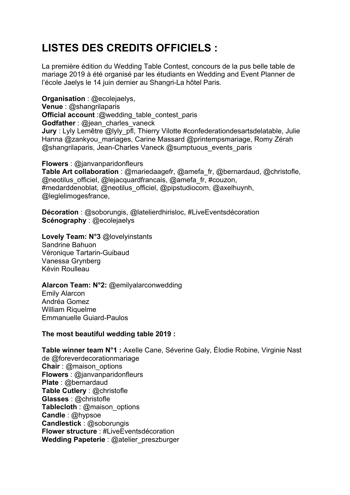## **LISTES DES CREDITS OFFICIELS :**

La première édition du Wedding Table Contest, concours de la pus belle table de mariage 2019 à été organisé par les étudiants en Wedding and Event Planner de l'école Jaelys le 14 juin dernier au Shangri-La hôtel Paris.

**Organisation** : @ecolejaelys, **Venue** : @shangrilaparis **Official account**:@wedding\_table\_contest\_paris **Godfather** : @jean\_charles\_vaneck **Jury** : Lyly Lemêtre @lyly\_pfl, Thierry Vilotte #confederationdesartsdelatable, Julie Hanna @zankyou\_mariages, Carine Massard @printempsmariage, Romy Zérah @shangrilaparis, Jean-Charles Vaneck @sumptuous\_events\_paris

**Flowers** : @janvanparidonfleurs **Table Art collaboration** : @mariedaagefr, @amefa\_fr, @bernardaud, @christofle, @neotilus\_officiel, @lejacquardfrancais, @amefa\_fr, #couzon, #medarddenoblat, @neotilus\_officiel, @pipstudiocom, @axelhuynh, @leglelimogesfrance,

**Décoration** : @soborungis, @latelierdhirisloc, #LiveEventsdécoration **Scénography** : @ecolejaelys

**Lovely Team: N°3** @lovelyinstants Sandrine Bahuon Véronique Tartarin-Guibaud Vanessa Grynberg Kévin Roulleau

## **Alarcon Team: N°2:** @emilyalarconwedding

Emily Alarcon Andréa Gomez William Riquelme Emmanuelle Guiard-Paulos

## **The most beautiful wedding table 2019 :**

**Table winner team N°1 :** Axelle Cane, Séverine Galy, Élodie Robine, Virginie Nast de @foreverdecorationmariage **Chair** : @maison\_options **Flowers** : @janvanparidonfleurs **Plate** : @bernardaud **Table Cutlery** : @christofle **Glasses** : @christofle **Tablecloth** : @maison\_options **Candle** : @hypsoe **Candlestick** : @soborungis **Flower structure** : #LiveEventsdécoration **Wedding Papeterie** : @atelier\_preszburger